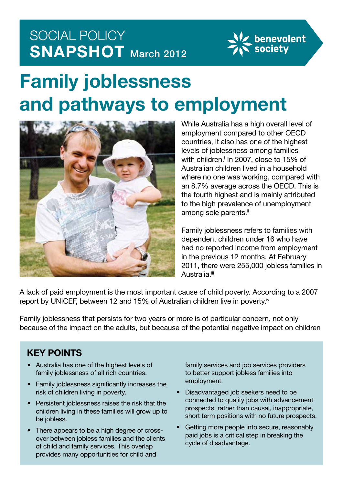## SOCIAL POLICY **SNAPSHOT** March 2012



# **Family joblessness and pathways to employment**



While Australia has a high overall level of employment compared to other OECD countries, it also has one of the highest levels of joblessness among families with children.<sup>i</sup> In 2007, close to 15% of Australian children lived in a household where no one was working, compared with an 8.7% average across the OECD. This is the fourth highest and is mainly attributed to the high prevalence of unemployment among sole parents.<sup>ii</sup>

Family joblessness refers to families with dependent children under 16 who have had no reported income from employment in the previous 12 months. At February 2011, there were 255,000 jobless families in Australia.<sup>iii</sup>

A lack of paid employment is the most important cause of child poverty. According to a 2007 report by UNICEF, between 12 and 15% of Australian children live in poverty.<sup>iv</sup>

Family joblessness that persists for two years or more is of particular concern, not only because of the impact on the adults, but because of the potential negative impact on children

## **KEY POINTS**

- • Australia has one of the highest levels of family joblessness of all rich countries.
- Family joblessness significantly increases the risk of children living in poverty.
- Persistent joblessness raises the risk that the children living in these families will grow up to be jobless.
- There appears to be a high degree of crossover between jobless families and the clients of child and family services. This overlap provides many opportunities for child and

family services and job services providers to better support jobless families into employment.

- • Disadvantaged job seekers need to be connected to quality jobs with advancement prospects, rather than causal, inappropriate, short term positions with no future prospects.
- Getting more people into secure, reasonably paid jobs is a critical step in breaking the cycle of disadvantage.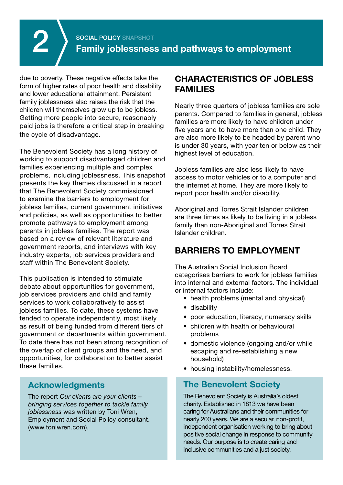due to poverty. These negative effects take the form of higher rates of poor health and disability and lower educational attainment. Persistent family joblessness also raises the risk that the children will themselves grow up to be jobless. Getting more people into secure, reasonably paid jobs is therefore a critical step in breaking the cycle of disadvantage.

The Benevolent Society has a long history of working to support disadvantaged children and families experiencing multiple and complex problems, including joblessness. This snapshot presents the key themes discussed in a report that The Benevolent Society commissioned to examine the barriers to employment for jobless families, current government initiatives and policies, as well as opportunities to better promote pathways to employment among parents in jobless families. The report was based on a review of relevant literature and government reports, and interviews with key industry experts, job services providers and staff within The Benevolent Society.

This publication is intended to stimulate debate about opportunities for government, job services providers and child and family services to work collaboratively to assist jobless families. To date, these systems have tended to operate independently, most likely as result of being funded from different tiers of government or departments within government. To date there has not been strong recognition of the overlap of client groups and the need, and opportunities, for collaboration to better assist these families.

## **Acknowledgments**

The report *Our clients are your clients – bringing services together to tackle family joblessness* was written by Toni Wren, Employment and Social Policy consultant. (www.toniwren.com).

## **Characteristics of jobless families**

Nearly three quarters of jobless families are sole parents. Compared to families in general, jobless families are more likely to have children under five years and to have more than one child. They are also more likely to be headed by parent who is under 30 years, with year ten or below as their highest level of education.

Jobless families are also less likely to have access to motor vehicles or to a computer and the internet at home. They are more likely to report poor health and/or disability.

Aboriginal and Torres Strait Islander children are three times as likely to be living in a jobless family than non-Aboriginal and Torres Strait Islander children.

## **BARRIERS TO EMPLOYMENT**

The Australian Social Inclusion Board categorises barriers to work for jobless families into internal and external factors. The individual or internal factors include:

- health problems (mental and physical)
- disability
- poor education, literacy, numeracy skills
- children with health or behavioural problems
- domestic violence (ongoing and/or while escaping and re-establishing a new household)
- housing instability/homelessness.

## **The Benevolent Society**

The Benevolent Society is Australia's oldest charity. Established in 1813 we have been caring for Australians and their communities for nearly 200 years. We are a secular, non-profit, independent organisation working to bring about positive social change in response to community needs. Our purpose is to create caring and inclusive communities and a just society.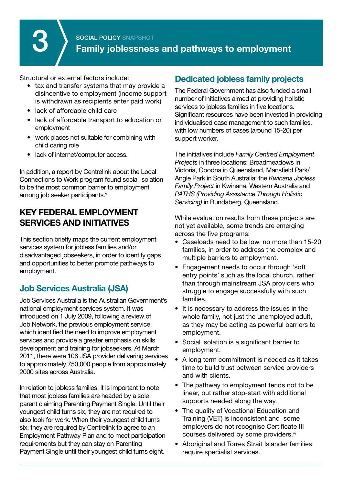**SOCIAL POLICY SNAPSHOT**<br>**Family joblessness and pathways to employment** 

Structural or external factors include:

- tax and transfer systems that may provide a disincentive to employment (income support is withdrawn as recipients enter paid work)
- lack of affordable child care
- lack of affordable transport to education or employment
- work places not suitable for combining with child caring role
- lack of internet/computer access.

In addition, a report by Centrelink about the Local Connections to Work program found social isolation to be the most common barrier to employment among job seeker participants.<sup>v</sup>

## **Key federal employment services and initiatives**

This section briefly maps the current employment services system for jobless families and/or disadvantaged jobseekers, in order to identify gaps and opportunities to better promote pathways to employment.

## **Job Services Australia (JSA)**

Job Services Australia is the Australian Government's national employment services system. It was introduced on 1 July 2009, following a review of Job Network, the previous employment service, which identified the need to improve employment services and provide a greater emphasis on skills development and training for jobseekers. At March 2011, there were 106 JSA provider delivering services to approximately 750,000 people from approximately 2000 sites across Australia.

In relation to jobless families, it is important to note that most jobless families are headed by a sole parent claiming Parenting Payment Single. Until their youngest child turns six, they are not required to also look for work. When their youngest child turns six, they are required by Centrelink to agree to an Employment Pathway Plan and to meet participation requirements but they can stay on Parenting Payment Single until their youngest child turns eight.

## **Dedicated jobless family projects**

The Federal Government has also funded a small number of initiatives aimed at providing holistic services to jobless families in five locations. Significant resources have been invested in providing individualised case management to such families, with low numbers of cases (around 15-20) per support worker.

The initiatives include *Family Centred Employment Projects* in three locations: Broadmeadows in Victoria, Goodna in Queensland, Mansfield Park/ Angle Park in South Australia; the *Kwinana Jobless Family Project* in Kwinana, Western Australia and *PATHS (Providing Assistance Through Holistic Servicing)* in Bundaberg, Queensland.

While evaluation results from these projects are not yet available, some trends are emerging across the five programs:

- Caseloads need to be low, no more than 15-20 families, in order to address the complex and multiple barriers to employment.
- Engagement needs to occur through 'soft entry points' such as the local church, rather than through mainstream JSA providers who struggle to engage successfully with such families.
- It is necessary to address the issues in the whole family, not just the unemployed adult, as they may be acting as powerful barriers to employment.
- Social isolation is a significant barrier to employment.
- A long term commitment is needed as it takes time to build trust between service providers and with clients.
- The pathway to employment tends not to be linear, but rather stop-start with additional supports needed along the way.
- The quality of Vocational Education and Training (VET) is inconsistent and some employers do not recognise Certificate III courses delivered by some providers.<sup>vi</sup>
- Aboriginal and Torres Strait Islander families require specialist services.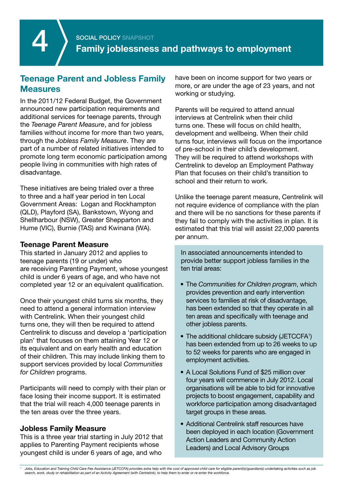## **Teenage Parent and Jobless Family Measures**

In the 2011/12 Federal Budget, the Government announced new participation requirements and additional services for teenage parents, through the *Teenage Parent Measure*, and for jobless families without income for more than two years, through the *Jobless Family Measure*. They are part of a number of related initiatives intended to promote long term economic participation among people living in communities with high rates of disadvantage.

These initiatives are being trialed over a three to three and a half year period in ten Local Government Areas: Logan and Rockhampton (QLD), Playford (SA), Bankstown, Wyong and Shellharbour (NSW), Greater Shepparton and Hume (VIC), Burnie (TAS) and Kwinana (WA).

#### **Teenage Parent Measure**

This started in January 2012 and applies to teenage parents (19 or under) who are receiving Parenting Payment, whose youngest child is under 6 years of age, and who have not completed year 12 or an equivalent qualification.

Once their youngest child turns six months, they need to attend a general information interview with Centrelink. When their youngest child turns one, they will then be required to attend Centrelink to discuss and develop a 'participation plan' that focuses on them attaining Year 12 or its equivalent and on early health and education of their children. This may include linking them to support services provided by local *Communities for Children* programs.

Participants will need to comply with their plan or face losing their income support. It is estimated that the trial will reach 4,000 teenage parents in the ten areas over the three years.

#### **Jobless Family Measure**

This is a three year trial starting in July 2012 that applies to Parenting Payment recipients whose youngest child is under 6 years of age, and who

have been on income support for two years or more, or are under the age of 23 years, and not working or studying.

Parents will be required to attend annual interviews at Centrelink when their child turns one. These will focus on child health, development and wellbeing. When their child turns four, interviews will focus on the importance of pre-school in their child's development. They will be required to attend workshops with Centrelink to develop an Employment Pathway Plan that focuses on their child's transition to school and their return to work.

Unlike the teenage parent measure, Centrelink will not require evidence of compliance with the plan and there will be no sanctions for these parents if they fail to comply with the activities in plan. It is estimated that this trial will assist 22,000 parents per annum.

In associated announcements intended to provide better support jobless families in the ten trial areas:

- • The *Communities for Children program*, which provides prevention and early intervention services to families at risk of disadvantage, has been extended so that they operate in all ten areas and specifically with teenage and other jobless parents.
- The additional childcare subsidy (JETCCFA<sup>1</sup>) has been extended from up to 26 weeks to up to 52 weeks for parents who are engaged in employment activities.
- A Local Solutions Fund of \$25 million over four years will commence in July 2012. Local organisations will be able to bid for innovative projects to boost engagement, capability and workforce participation among disadvantaged target groups in these areas.
- Additional Centrelink staff resources have been deployed in each location (Government Action Leaders and Community Action Leaders) and Local Advisory Groups

*<sup>1</sup> Jobs, Education and Training Child Care Fee Assistance (JETCCFA) provides extra help with the cost of approved child care for eligible parent(s)/guardian(s) undertaking activities such as job search, work, study or rehabilitation as part of an Activity Agreement (with Centrelink), to help them to enter or re-enter the workforce.*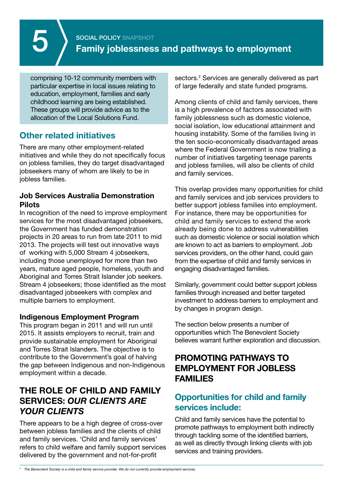comprising 10-12 community members with particular expertise in local issues relating to education, employment, families and early childhood learning are being established. These groups will provide advice as to the allocation of the Local Solutions Fund.

## **Other related initiatives**

There are many other employment-related initiatives and while they do not specifically focus on jobless families, they do target disadvantaged jobseekers many of whom are likely to be in jobless families.

### **Job Services Australia Demonstration Pilots**

In recognition of the need to improve employment services for the most disadvantaged jobseekers, the Government has funded demonstration projects in 20 areas to run from late 2011 to mid 2013. The projects will test out innovative ways of working with 5,000 Stream 4 jobseekers, including those unemployed for more than two years, mature aged people, homeless, youth and Aboriginal and Torres Strait Islander job seekers. Stream 4 jobseekers; those identified as the most disadvantaged jobseekers with complex and multiple barriers to employment.

## **Indigenous Employment Program**

This program began in 2011 and will run until 2015. It assists employers to recruit, train and provide sustainable employment for Aboriginal and Torres Strait Islanders. The objective is to contribute to the Government's goal of halving the gap between Indigenous and non-Indigenous employment within a decade.

## **The role of child and family Services:** *Our clients are your clients*

There appears to be a high degree of cross-over between jobless families and the clients of child and family services. 'Child and family services' refers to child welfare and family support services delivered by the government and not-for-profit

sectors.<sup>2</sup> Services are generally delivered as part of large federally and state funded programs.

Among clients of child and family services, there is a high prevalence of factors associated with family joblessness such as domestic violence. social isolation, low educational attainment and housing instability. Some of the families living in the ten socio-economically disadvantaged areas where the Federal Government is now trialling a number of initiatives targeting teenage parents and jobless families, will also be clients of child and family services.

This overlap provides many opportunities for child and family services and job services providers to better support jobless families into employment. For instance, there may be opportunities for child and family services to extend the work already being done to address vulnerabilities such as domestic violence or social isolation which are known to act as barriers to employment. Job services providers, on the other hand, could gain from the expertise of child and family services in engaging disadvantaged families.

Similarly, government could better support jobless families through increased and better targeted investment to address barriers to employment and by changes in program design.

The section below presents a number of opportunities which The Benevolent Society believes warrant further exploration and discussion.

## **Promoting pathways to employment for jobless families**

## **Opportunities for child and family services include:**

Child and family services have the potential to promote pathways to employment both indirectly through tackling some of the identified barriers, as well as directly through linking clients with job services and training providers.

*<sup>2</sup> The Benevolent Society is a child and family service provider. We do not currently provide employment services.*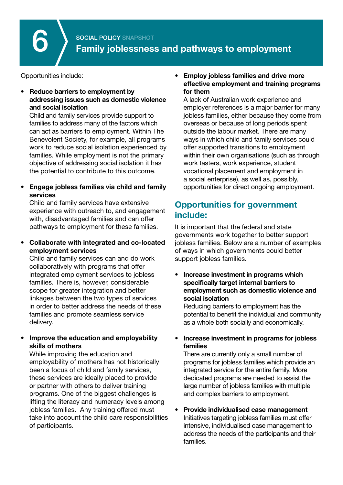Opportunities include:

**Reduce barriers to employment by addressing issues such as domestic violence and social isolation** 

Child and family services provide support to families to address many of the factors which can act as barriers to employment. Within The Benevolent Society, for example, all programs work to reduce social isolation experienced by families. While employment is not the primary objective of addressing social isolation it has the potential to contribute to this outcome.

**Engage jobless families via child and family services**

Child and family services have extensive experience with outreach to, and engagement with, disadvantaged families and can offer pathways to employment for these families.

• **Collaborate with integrated and co-located employment services**

Child and family services can and do work collaboratively with programs that offer integrated employment services to jobless families. There is, however, considerable scope for greater integration and better linkages between the two types of services in order to better address the needs of these families and promote seamless service delivery.

• **Improve the education and employability skills of mothers**

While improving the education and employability of mothers has not historically been a focus of child and family services, these services are ideally placed to provide or partner with others to deliver training programs. One of the biggest challenges is lifting the literacy and numeracy levels among jobless families. Any training offered must take into account the child care responsibilities of participants.

#### • **Employ jobless families and drive more effective employment and training programs for them**

A lack of Australian work experience and employer references is a major barrier for many jobless families, either because they come from overseas or because of long periods spent outside the labour market. There are many ways in which child and family services could offer supported transitions to employment within their own organisations (such as through work tasters, work experience, student vocational placement and employment in a social enterprise), as well as, possibly, opportunities for direct ongoing employment.

## **Opportunities for government include:**

It is important that the federal and state governments work together to better support jobless families. Below are a number of examples of ways in which governments could better support jobless families.

• **Increase investment in programs which specifically target internal barriers to employment such as domestic violence and social isolation**

 Reducing barriers to employment has the potential to benefit the individual and community as a whole both socially and economically.

#### **Increase investment in programs for jobless families**

There are currently only a small number of programs for jobless families which provide an integrated service for the entire family. More dedicated programs are needed to assist the large number of jobless families with multiple and complex barriers to employment.

• **Provide individualised case management** Initiatives targeting jobless families must offer intensive, individualised case management to address the needs of the participants and their families.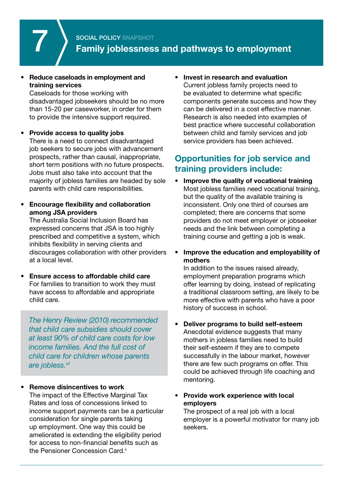

## **SOCIAL POLICY SNAPSHOT Family joblessness and pathways to employment**

#### • **Reduce caseloads in employment and training services**

Caseloads for those working with disadvantaged jobseekers should be no more than 15-20 per caseworker, in order for them to provide the intensive support required.

#### **Provide access to quality jobs**

There is a need to connect disadvantaged job seekers to secure jobs with advancement prospects, rather than causal, inappropriate, short term positions with no future prospects. Jobs must also take into account that the majority of jobless families are headed by sole parents with child care responsibilities.

#### **Encourage flexibility and collaboration among JSA providers**

The Australia Social Inclusion Board has expressed concerns that JSA is too highly prescribed and competitive a system, which inhibits flexibility in serving clients and discourages collaboration with other providers at a local level.

• **Ensure access to affordable child care** For families to transition to work they must have access to affordable and appropriate child care.

*The Henry Review (2010) recommended that child care subsidies should cover at least 90% of child care costs for low income families. And the full cost of child care for children whose parents are jobless.vii*

#### **Remove disincentives to work**

The impact of the Effective Marginal Tax Rates and loss of concessions linked to income support payments can be a particular consideration for single parents taking up employment. One way this could be ameliorated is extending the eligibility period for access to non-financial benefits such as the Pensioner Concession Card.<sup>ii</sup>

#### • **Invest in research and evaluation** Current jobless family projects need to be evaluated to determine what specific components generate success and how they can be delivered in a cost effective manner. Research is also needed into examples of best practice where successful collaboration between child and family services and job service providers has been achieved.

## **Opportunities for job service and training providers include:**

- • **Improve the quality of vocational training** Most jobless families need vocational training, but the quality of the available training is inconsistent. Only one third of courses are completed; there are concerns that some providers do not meet employer or jobseeker needs and the link between completing a training course and getting a job is weak.
- • **Improve the education and employability of mothers**

In addition to the issues raised already, employment preparation programs which offer learning by doing, instead of replicating a traditional classroom setting, are likely to be more effective with parents who have a poor history of success in school.

- • **Deliver programs to build self-esteem** Anecdotal evidence suggests that many mothers in jobless families need to build their self-esteem if they are to compete successfully in the labour market, however there are few such programs on offer. This could be achieved through life coaching and mentoring.
- • **Provide work experience with local employers**

The prospect of a real job with a local employer is a powerful motivator for many job seekers.